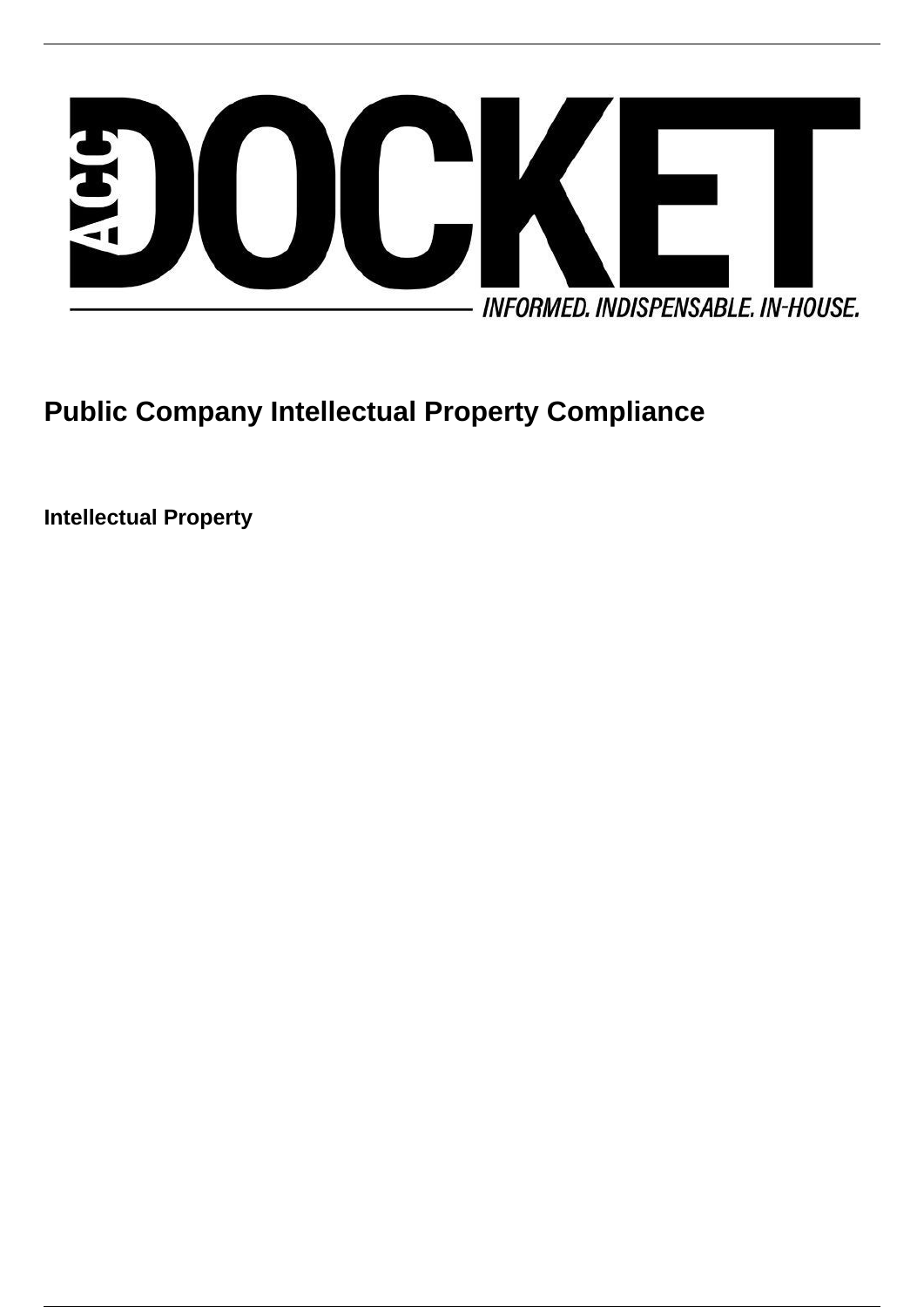

# **Public Company Intellectual Property Compliance**

**Intellectual Property**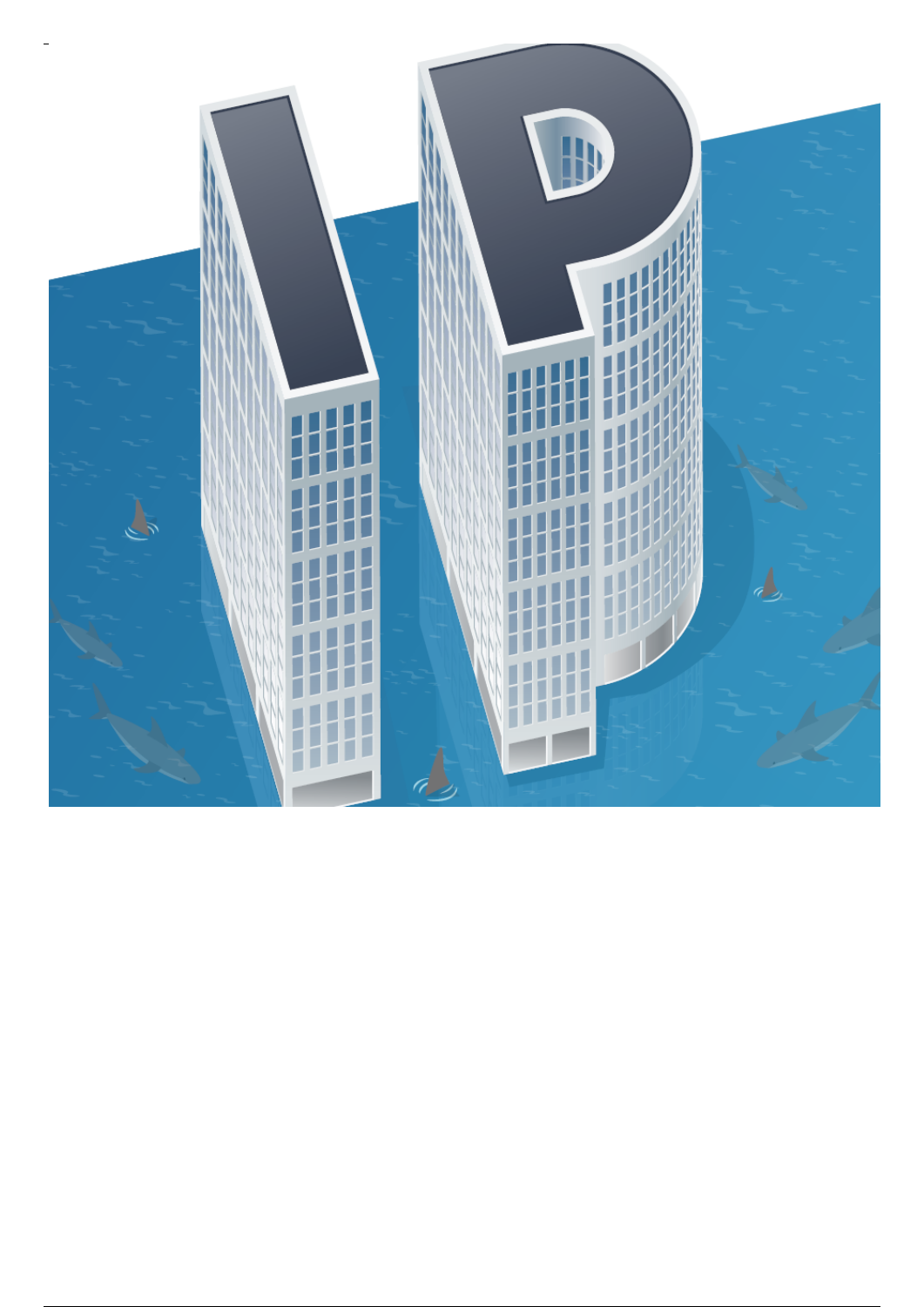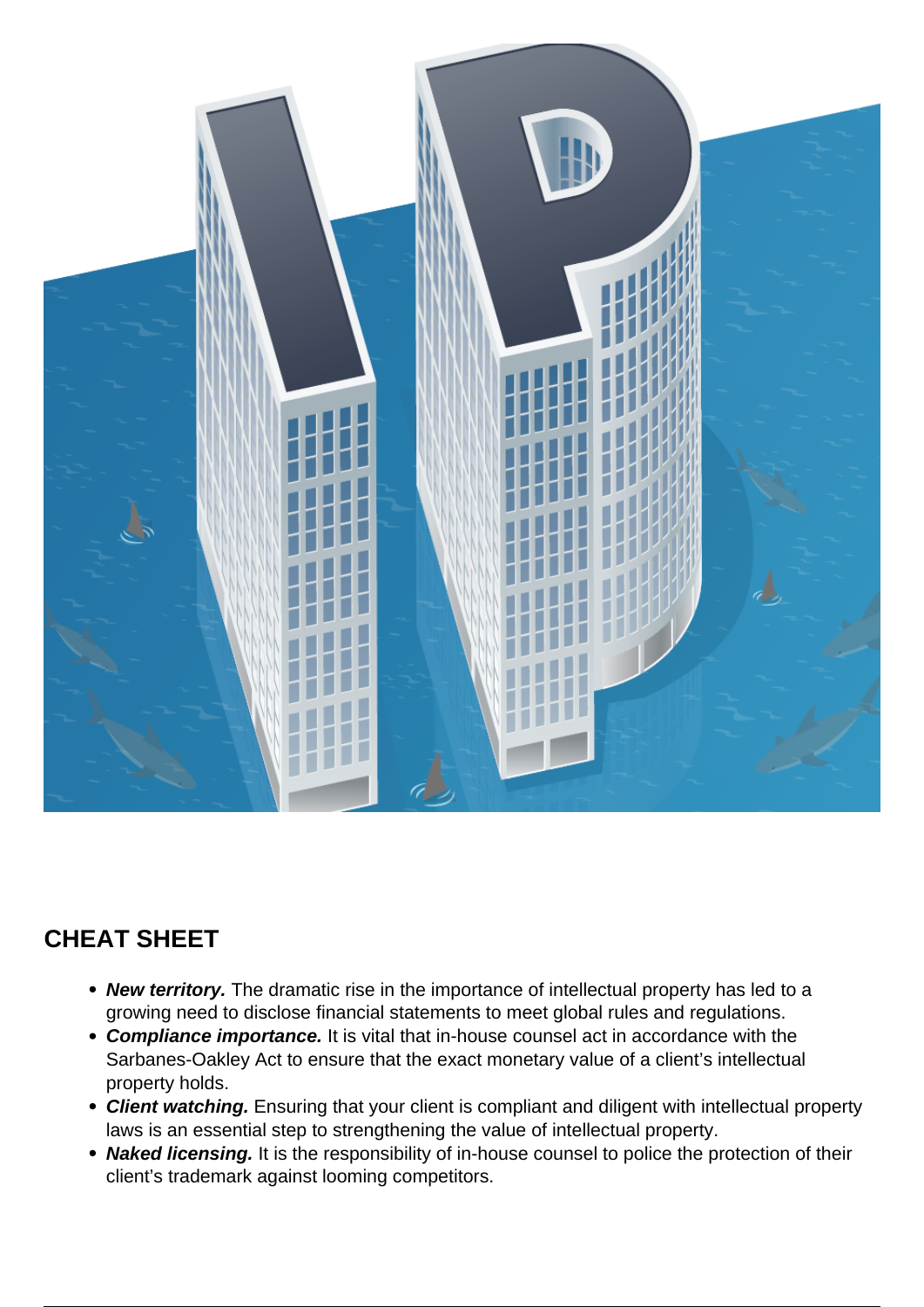

## **CHEAT SHEET**

- **New territory.** The dramatic rise in the importance of intellectual property has led to a growing need to disclose financial statements to meet global rules and regulations.
- **Compliance importance.** It is vital that in-house counsel act in accordance with the Sarbanes-Oakley Act to ensure that the exact monetary value of a client's intellectual property holds.
- Client watching. Ensuring that your client is compliant and diligent with intellectual property laws is an essential step to strengthening the value of intellectual property.
- **Naked licensing.** It is the responsibility of in-house counsel to police the protection of their client's trademark against looming competitors.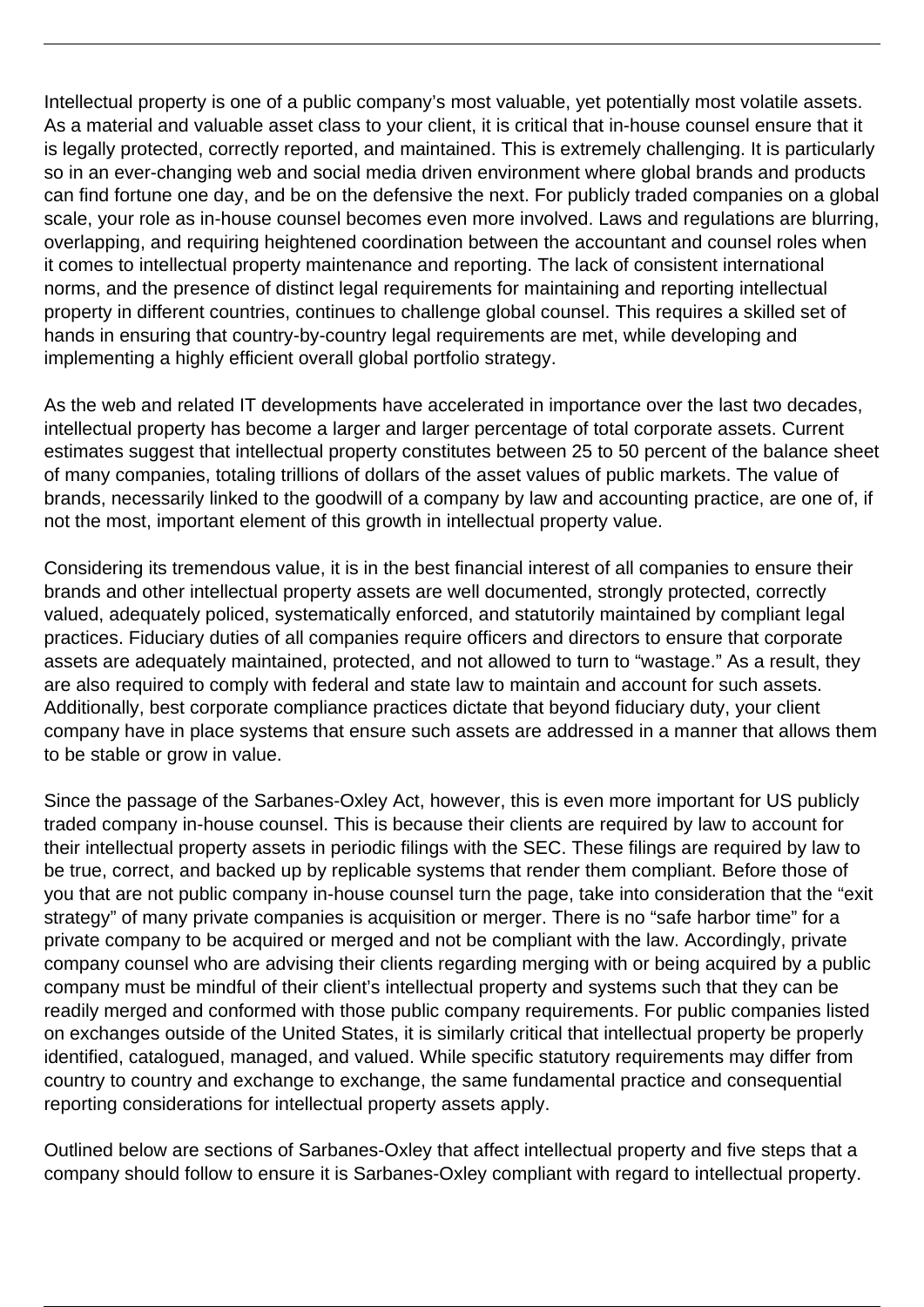Intellectual property is one of a public company's most valuable, yet potentially most volatile assets. As a material and valuable asset class to your client, it is critical that in-house counsel ensure that it is legally protected, correctly reported, and maintained. This is extremely challenging. It is particularly so in an ever-changing web and social media driven environment where global brands and products can find fortune one day, and be on the defensive the next. For publicly traded companies on a global scale, your role as in-house counsel becomes even more involved. Laws and regulations are blurring, overlapping, and requiring heightened coordination between the accountant and counsel roles when it comes to intellectual property maintenance and reporting. The lack of consistent international norms, and the presence of distinct legal requirements for maintaining and reporting intellectual property in different countries, continues to challenge global counsel. This requires a skilled set of hands in ensuring that country-by-country legal requirements are met, while developing and implementing a highly efficient overall global portfolio strategy.

As the web and related IT developments have accelerated in importance over the last two decades, intellectual property has become a larger and larger percentage of total corporate assets. Current estimates suggest that intellectual property constitutes between 25 to 50 percent of the balance sheet of many companies, totaling trillions of dollars of the asset values of public markets. The value of brands, necessarily linked to the goodwill of a company by law and accounting practice, are one of, if not the most, important element of this growth in intellectual property value.

Considering its tremendous value, it is in the best financial interest of all companies to ensure their brands and other intellectual property assets are well documented, strongly protected, correctly valued, adequately policed, systematically enforced, and statutorily maintained by compliant legal practices. Fiduciary duties of all companies require officers and directors to ensure that corporate assets are adequately maintained, protected, and not allowed to turn to "wastage." As a result, they are also required to comply with federal and state law to maintain and account for such assets. Additionally, best corporate compliance practices dictate that beyond fiduciary duty, your client company have in place systems that ensure such assets are addressed in a manner that allows them to be stable or grow in value.

Since the passage of the Sarbanes-Oxley Act, however, this is even more important for US publicly traded company in-house counsel. This is because their clients are required by law to account for their intellectual property assets in periodic filings with the SEC. These filings are required by law to be true, correct, and backed up by replicable systems that render them compliant. Before those of you that are not public company in-house counsel turn the page, take into consideration that the "exit strategy" of many private companies is acquisition or merger. There is no "safe harbor time" for a private company to be acquired or merged and not be compliant with the law. Accordingly, private company counsel who are advising their clients regarding merging with or being acquired by a public company must be mindful of their client's intellectual property and systems such that they can be readily merged and conformed with those public company requirements. For public companies listed on exchanges outside of the United States, it is similarly critical that intellectual property be properly identified, catalogued, managed, and valued. While specific statutory requirements may differ from country to country and exchange to exchange, the same fundamental practice and consequential reporting considerations for intellectual property assets apply.

Outlined below are sections of Sarbanes-Oxley that affect intellectual property and five steps that a company should follow to ensure it is Sarbanes-Oxley compliant with regard to intellectual property.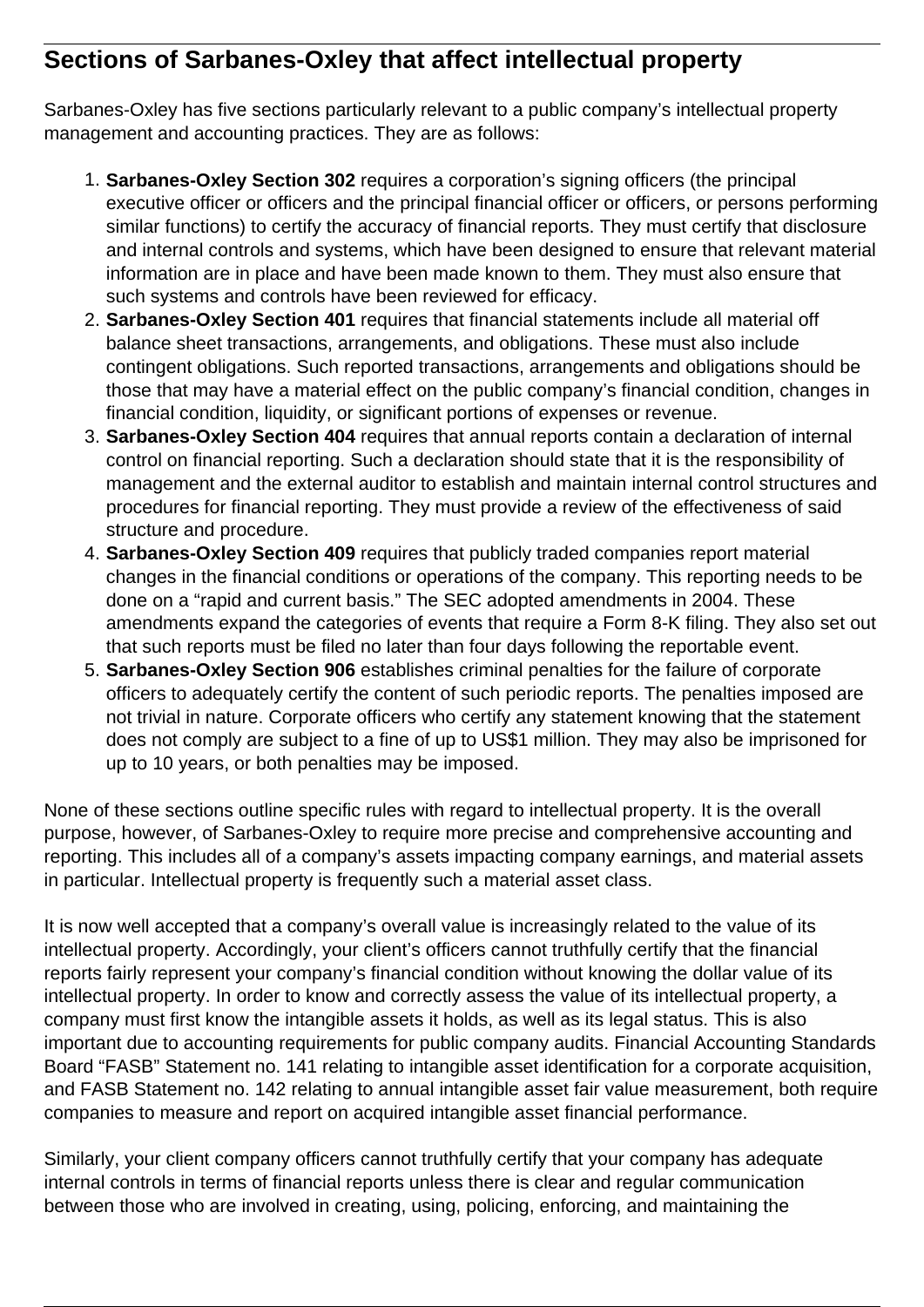## **Sections of Sarbanes-Oxley that affect intellectual property**

Sarbanes-Oxley has five sections particularly relevant to a public company's intellectual property management and accounting practices. They are as follows:

- 1. **Sarbanes-Oxley Section 302** requires a corporation's signing officers (the principal executive officer or officers and the principal financial officer or officers, or persons performing similar functions) to certify the accuracy of financial reports. They must certify that disclosure and internal controls and systems, which have been designed to ensure that relevant material information are in place and have been made known to them. They must also ensure that such systems and controls have been reviewed for efficacy.
- 2. **Sarbanes-Oxley Section 401** requires that financial statements include all material off balance sheet transactions, arrangements, and obligations. These must also include contingent obligations. Such reported transactions, arrangements and obligations should be those that may have a material effect on the public company's financial condition, changes in financial condition, liquidity, or significant portions of expenses or revenue.
- 3. **Sarbanes-Oxley Section 404** requires that annual reports contain a declaration of internal control on financial reporting. Such a declaration should state that it is the responsibility of management and the external auditor to establish and maintain internal control structures and procedures for financial reporting. They must provide a review of the effectiveness of said structure and procedure.
- 4. **Sarbanes-Oxley Section 409** requires that publicly traded companies report material changes in the financial conditions or operations of the company. This reporting needs to be done on a "rapid and current basis." The SEC adopted amendments in 2004. These amendments expand the categories of events that require a Form 8-K filing. They also set out that such reports must be filed no later than four days following the reportable event.
- 5. **Sarbanes-Oxley Section 906** establishes criminal penalties for the failure of corporate officers to adequately certify the content of such periodic reports. The penalties imposed are not trivial in nature. Corporate officers who certify any statement knowing that the statement does not comply are subject to a fine of up to US\$1 million. They may also be imprisoned for up to 10 years, or both penalties may be imposed.

None of these sections outline specific rules with regard to intellectual property. It is the overall purpose, however, of Sarbanes-Oxley to require more precise and comprehensive accounting and reporting. This includes all of a company's assets impacting company earnings, and material assets in particular. Intellectual property is frequently such a material asset class.

It is now well accepted that a company's overall value is increasingly related to the value of its intellectual property. Accordingly, your client's officers cannot truthfully certify that the financial reports fairly represent your company's financial condition without knowing the dollar value of its intellectual property. In order to know and correctly assess the value of its intellectual property, a company must first know the intangible assets it holds, as well as its legal status. This is also important due to accounting requirements for public company audits. Financial Accounting Standards Board "FASB" Statement no. 141 relating to intangible asset identification for a corporate acquisition, and FASB Statement no. 142 relating to annual intangible asset fair value measurement, both require companies to measure and report on acquired intangible asset financial performance.

Similarly, your client company officers cannot truthfully certify that your company has adequate internal controls in terms of financial reports unless there is clear and regular communication between those who are involved in creating, using, policing, enforcing, and maintaining the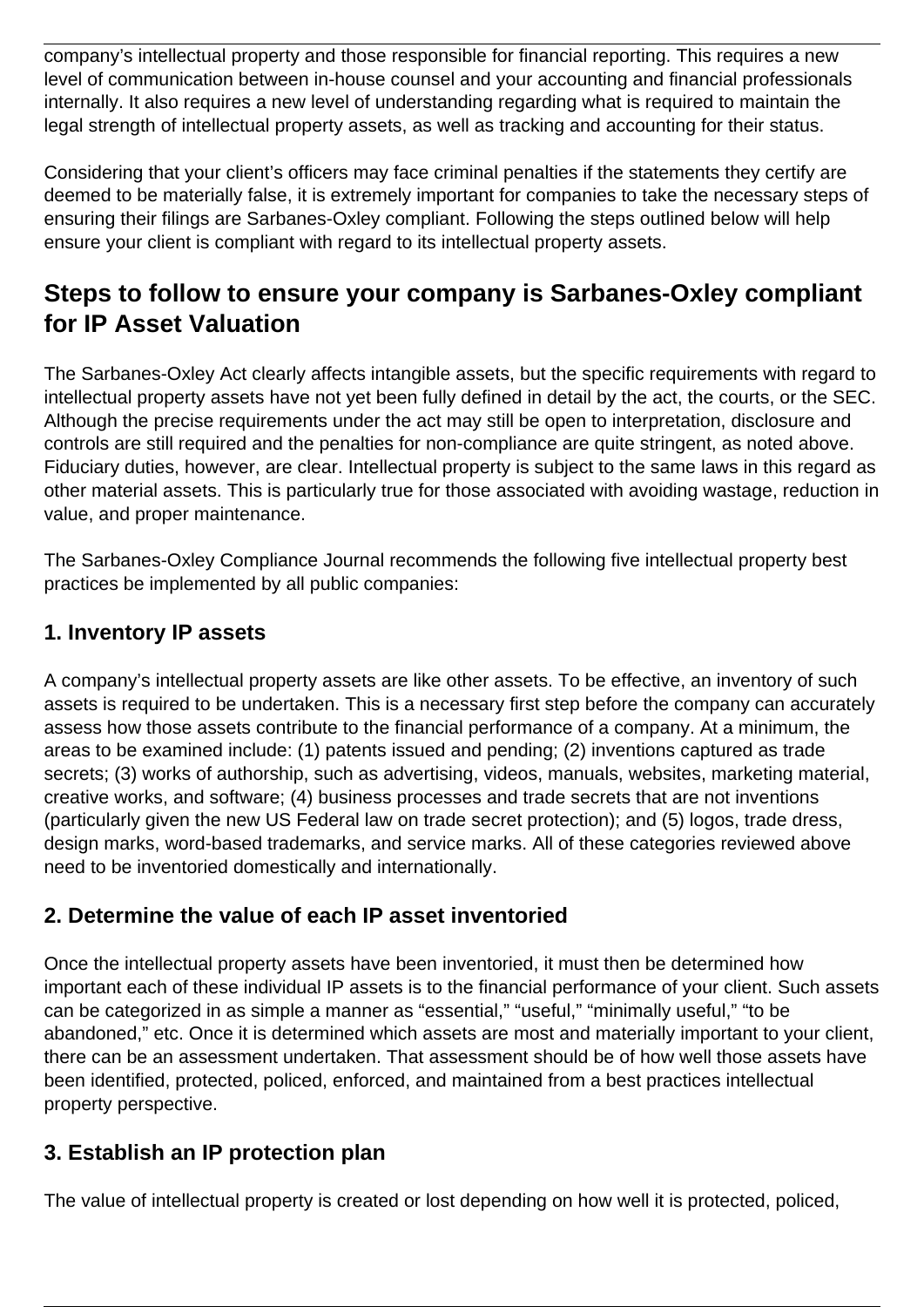company's intellectual property and those responsible for financial reporting. This requires a new level of communication between in-house counsel and your accounting and financial professionals internally. It also requires a new level of understanding regarding what is required to maintain the legal strength of intellectual property assets, as well as tracking and accounting for their status.

Considering that your client's officers may face criminal penalties if the statements they certify are deemed to be materially false, it is extremely important for companies to take the necessary steps of ensuring their filings are Sarbanes-Oxley compliant. Following the steps outlined below will help ensure your client is compliant with regard to its intellectual property assets.

## **Steps to follow to ensure your company is Sarbanes-Oxley compliant for IP Asset Valuation**

The Sarbanes-Oxley Act clearly affects intangible assets, but the specific requirements with regard to intellectual property assets have not yet been fully defined in detail by the act, the courts, or the SEC. Although the precise requirements under the act may still be open to interpretation, disclosure and controls are still required and the penalties for non-compliance are quite stringent, as noted above. Fiduciary duties, however, are clear. Intellectual property is subject to the same laws in this regard as other material assets. This is particularly true for those associated with avoiding wastage, reduction in value, and proper maintenance.

The Sarbanes-Oxley Compliance Journal recommends the following five intellectual property best practices be implemented by all public companies:

### **1. Inventory IP assets**

A company's intellectual property assets are like other assets. To be effective, an inventory of such assets is required to be undertaken. This is a necessary first step before the company can accurately assess how those assets contribute to the financial performance of a company. At a minimum, the areas to be examined include: (1) patents issued and pending; (2) inventions captured as trade secrets; (3) works of authorship, such as advertising, videos, manuals, websites, marketing material, creative works, and software; (4) business processes and trade secrets that are not inventions (particularly given the new US Federal law on trade secret protection); and (5) logos, trade dress, design marks, word-based trademarks, and service marks. All of these categories reviewed above need to be inventoried domestically and internationally.

### **2. Determine the value of each IP asset inventoried**

Once the intellectual property assets have been inventoried, it must then be determined how important each of these individual IP assets is to the financial performance of your client. Such assets can be categorized in as simple a manner as "essential," "useful," "minimally useful," "to be abandoned," etc. Once it is determined which assets are most and materially important to your client, there can be an assessment undertaken. That assessment should be of how well those assets have been identified, protected, policed, enforced, and maintained from a best practices intellectual property perspective.

### **3. Establish an IP protection plan**

The value of intellectual property is created or lost depending on how well it is protected, policed,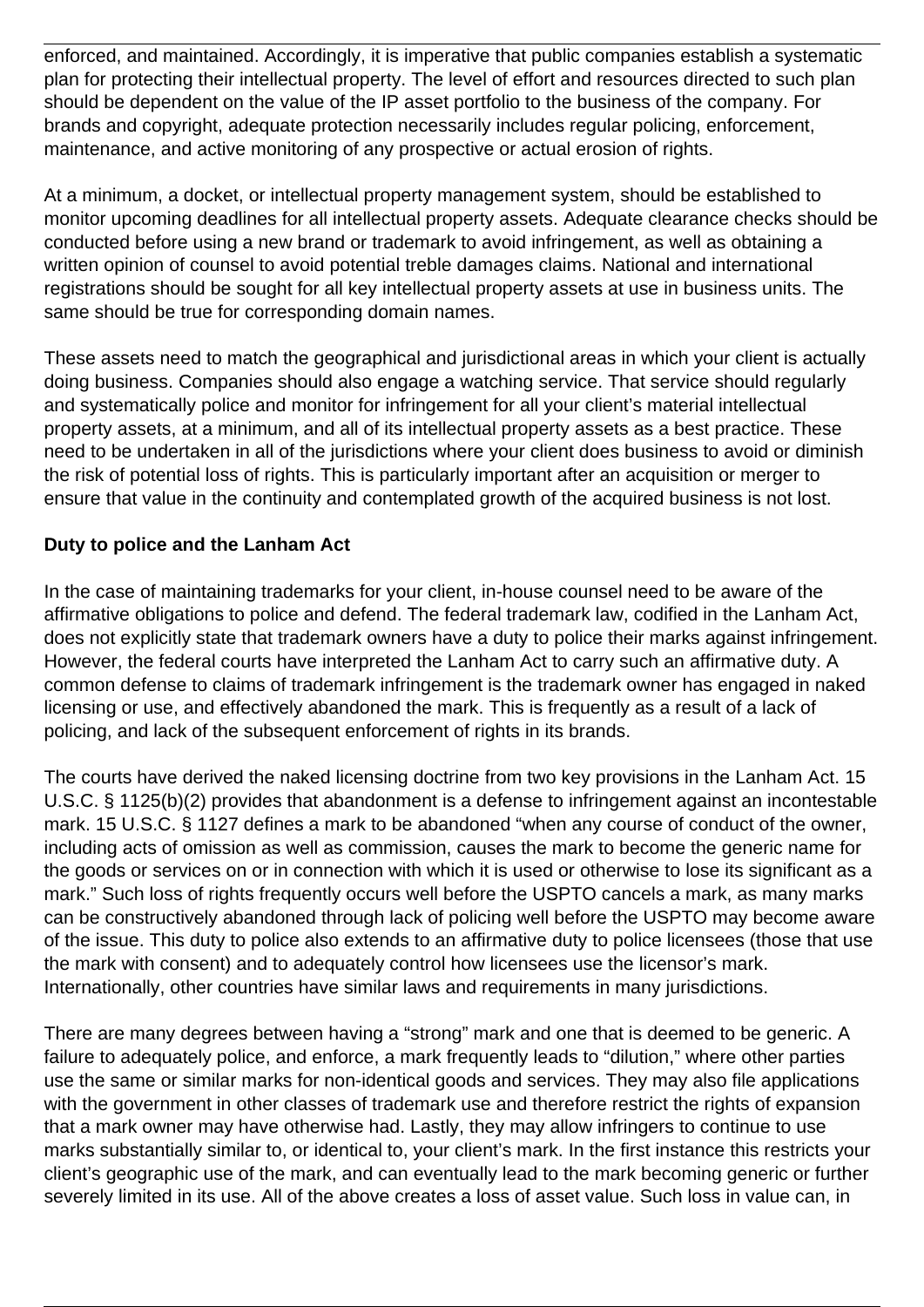enforced, and maintained. Accordingly, it is imperative that public companies establish a systematic plan for protecting their intellectual property. The level of effort and resources directed to such plan should be dependent on the value of the IP asset portfolio to the business of the company. For brands and copyright, adequate protection necessarily includes regular policing, enforcement, maintenance, and active monitoring of any prospective or actual erosion of rights.

At a minimum, a docket, or intellectual property management system, should be established to monitor upcoming deadlines for all intellectual property assets. Adequate clearance checks should be conducted before using a new brand or trademark to avoid infringement, as well as obtaining a written opinion of counsel to avoid potential treble damages claims. National and international registrations should be sought for all key intellectual property assets at use in business units. The same should be true for corresponding domain names.

These assets need to match the geographical and jurisdictional areas in which your client is actually doing business. Companies should also engage a watching service. That service should regularly and systematically police and monitor for infringement for all your client's material intellectual property assets, at a minimum, and all of its intellectual property assets as a best practice. These need to be undertaken in all of the jurisdictions where your client does business to avoid or diminish the risk of potential loss of rights. This is particularly important after an acquisition or merger to ensure that value in the continuity and contemplated growth of the acquired business is not lost.

#### **Duty to police and the Lanham Act**

In the case of maintaining trademarks for your client, in-house counsel need to be aware of the affirmative obligations to police and defend. The federal trademark law, codified in the Lanham Act, does not explicitly state that trademark owners have a duty to police their marks against infringement. However, the federal courts have interpreted the Lanham Act to carry such an affirmative duty. A common defense to claims of trademark infringement is the trademark owner has engaged in naked licensing or use, and effectively abandoned the mark. This is frequently as a result of a lack of policing, and lack of the subsequent enforcement of rights in its brands.

The courts have derived the naked licensing doctrine from two key provisions in the Lanham Act. 15 U.S.C. § 1125(b)(2) provides that abandonment is a defense to infringement against an incontestable mark. 15 U.S.C. § 1127 defines a mark to be abandoned "when any course of conduct of the owner, including acts of omission as well as commission, causes the mark to become the generic name for the goods or services on or in connection with which it is used or otherwise to lose its significant as a mark." Such loss of rights frequently occurs well before the USPTO cancels a mark, as many marks can be constructively abandoned through lack of policing well before the USPTO may become aware of the issue. This duty to police also extends to an affirmative duty to police licensees (those that use the mark with consent) and to adequately control how licensees use the licensor's mark. Internationally, other countries have similar laws and requirements in many jurisdictions.

There are many degrees between having a "strong" mark and one that is deemed to be generic. A failure to adequately police, and enforce, a mark frequently leads to "dilution," where other parties use the same or similar marks for non-identical goods and services. They may also file applications with the government in other classes of trademark use and therefore restrict the rights of expansion that a mark owner may have otherwise had. Lastly, they may allow infringers to continue to use marks substantially similar to, or identical to, your client's mark. In the first instance this restricts your client's geographic use of the mark, and can eventually lead to the mark becoming generic or further severely limited in its use. All of the above creates a loss of asset value. Such loss in value can, in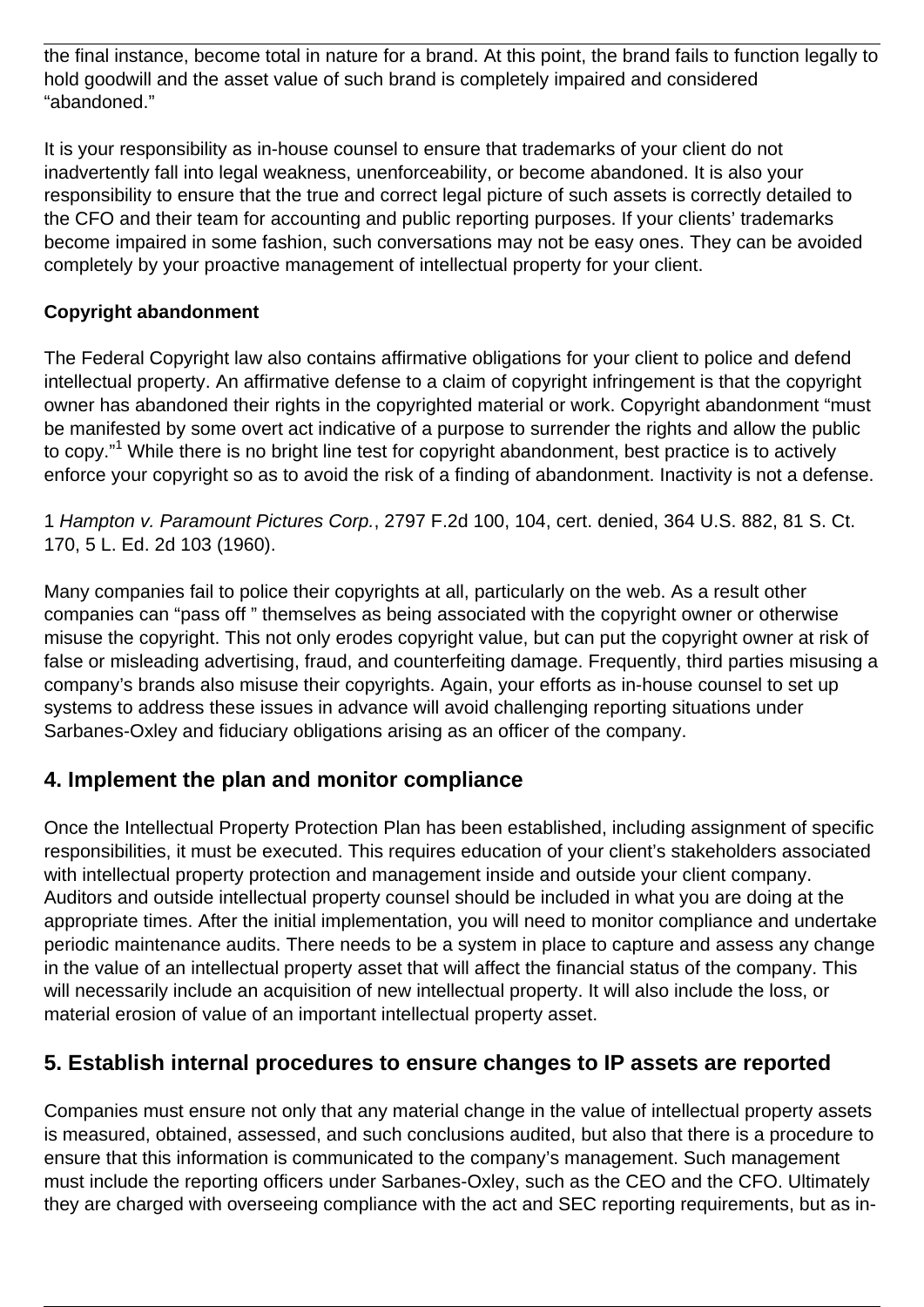the final instance, become total in nature for a brand. At this point, the brand fails to function legally to hold goodwill and the asset value of such brand is completely impaired and considered "abandoned."

It is your responsibility as in-house counsel to ensure that trademarks of your client do not inadvertently fall into legal weakness, unenforceability, or become abandoned. It is also your responsibility to ensure that the true and correct legal picture of such assets is correctly detailed to the CFO and their team for accounting and public reporting purposes. If your clients' trademarks become impaired in some fashion, such conversations may not be easy ones. They can be avoided completely by your proactive management of intellectual property for your client.

#### **Copyright abandonment**

The Federal Copyright law also contains affirmative obligations for your client to police and defend intellectual property. An affirmative defense to a claim of copyright infringement is that the copyright owner has abandoned their rights in the copyrighted material or work. Copyright abandonment "must be manifested by some overt act indicative of a purpose to surrender the rights and allow the public to copy."<sup>1</sup> While there is no bright line test for copyright abandonment, best practice is to actively enforce your copyright so as to avoid the risk of a finding of abandonment. Inactivity is not a defense.

1 Hampton v. Paramount Pictures Corp., 2797 F.2d 100, 104, cert. denied, 364 U.S. 882, 81 S. Ct. 170, 5 L. Ed. 2d 103 (1960).

Many companies fail to police their copyrights at all, particularly on the web. As a result other companies can "pass off " themselves as being associated with the copyright owner or otherwise misuse the copyright. This not only erodes copyright value, but can put the copyright owner at risk of false or misleading advertising, fraud, and counterfeiting damage. Frequently, third parties misusing a company's brands also misuse their copyrights. Again, your efforts as in-house counsel to set up systems to address these issues in advance will avoid challenging reporting situations under Sarbanes-Oxley and fiduciary obligations arising as an officer of the company.

### **4. Implement the plan and monitor compliance**

Once the Intellectual Property Protection Plan has been established, including assignment of specific responsibilities, it must be executed. This requires education of your client's stakeholders associated with intellectual property protection and management inside and outside your client company. Auditors and outside intellectual property counsel should be included in what you are doing at the appropriate times. After the initial implementation, you will need to monitor compliance and undertake periodic maintenance audits. There needs to be a system in place to capture and assess any change in the value of an intellectual property asset that will affect the financial status of the company. This will necessarily include an acquisition of new intellectual property. It will also include the loss, or material erosion of value of an important intellectual property asset.

### **5. Establish internal procedures to ensure changes to IP assets are reported**

Companies must ensure not only that any material change in the value of intellectual property assets is measured, obtained, assessed, and such conclusions audited, but also that there is a procedure to ensure that this information is communicated to the company's management. Such management must include the reporting officers under Sarbanes-Oxley, such as the CEO and the CFO. Ultimately they are charged with overseeing compliance with the act and SEC reporting requirements, but as in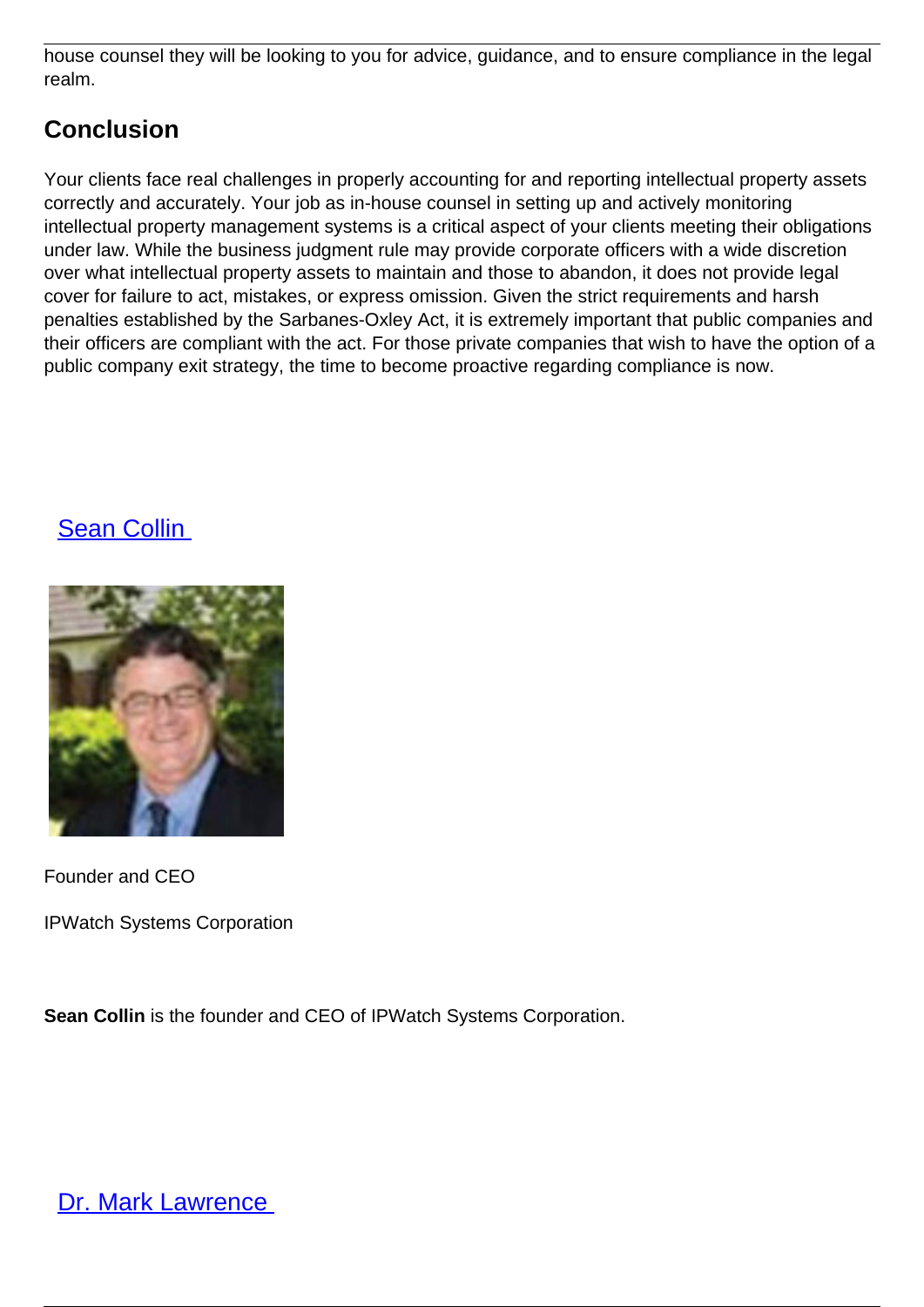house counsel they will be looking to you for advice, guidance, and to ensure compliance in the legal realm.

## **Conclusion**

Your clients face real challenges in properly accounting for and reporting intellectual property assets correctly and accurately. Your job as in-house counsel in setting up and actively monitoring intellectual property management systems is a critical aspect of your clients meeting their obligations under law. While the business judgment rule may provide corporate officers with a wide discretion over what intellectual property assets to maintain and those to abandon, it does not provide legal cover for failure to act, mistakes, or express omission. Given the strict requirements and harsh penalties established by the Sarbanes-Oxley Act, it is extremely important that public companies and their officers are compliant with the act. For those private companies that wish to have the option of a public company exit strategy, the time to become proactive regarding compliance is now.

## **[Sean Collin](/author/sean-collin)**



Founder and CEO

IPWatch Systems Corporation

**Sean Collin** is the founder and CEO of IPWatch Systems Corporation.

[Dr. Mark Lawrence](/author/dr-mark-lawrence)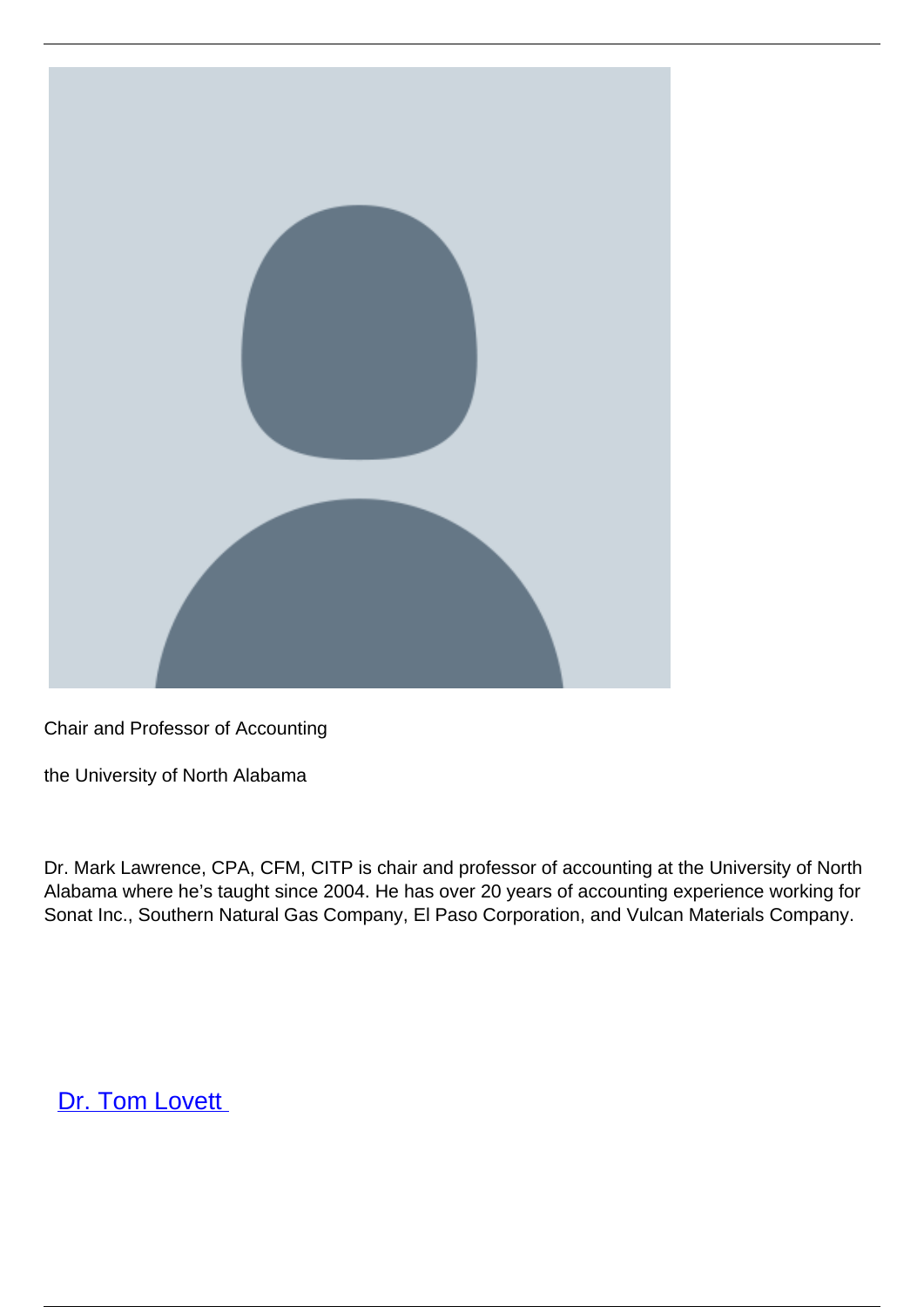

Chair and Professor of Accounting

the University of North Alabama

Dr. Mark Lawrence, CPA, CFM, CITP is chair and professor of accounting at the University of North Alabama where he's taught since 2004. He has over 20 years of accounting experience working for Sonat Inc., Southern Natural Gas Company, El Paso Corporation, and Vulcan Materials Company.

**[Dr. Tom Lovett](/author/dr-tom-lovett)**